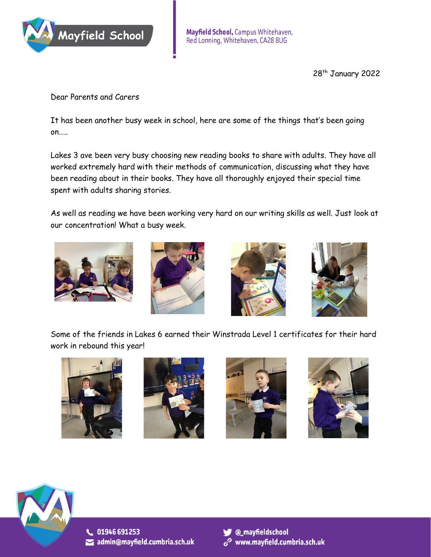

28<sup>th</sup> January 2022

Dear Parents and Carers

It has been another busy week in school, here are some of the things that's been going on…..

Lakes 3 ave been very busy choosing new reading books to share with adults. They have all worked extremely hard with their methods of communication, discussing what they have been reading about in their books. They have all thoroughly enjoyed their special time spent with adults sharing stories.

As well as reading we have been working very hard on our writing skills as well. Just look at our concentration! What a busy week.



Some of the friends in Lakes 6 earned their Winstrada Level 1 certificates for their hard work in rebound this year!



C. 01946 691253  $\blacktriangleright$  admin@mayfield.cumbria.sch.uk



 $\mathscr{O}$  www.mayfield.cumbria.sch.uk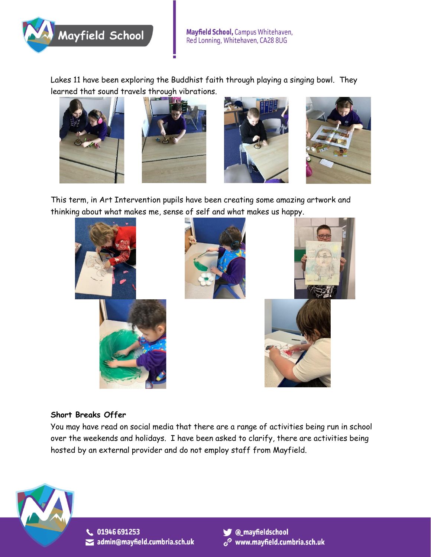

Lakes 11 have been exploring the Buddhist faith through playing a singing bowl. They learned that sound travels through vibrations.









This term, in Art Intervention pupils have been creating some amazing artwork and thinking about what makes me, sense of self and what makes us happy.



## **Short Breaks Offer**

You may have read on social media that there are a range of activities being run in school over the weekends and holidays. I have been asked to clarify, there are activities being hosted by an external provider and do not employ staff from Mayfield.